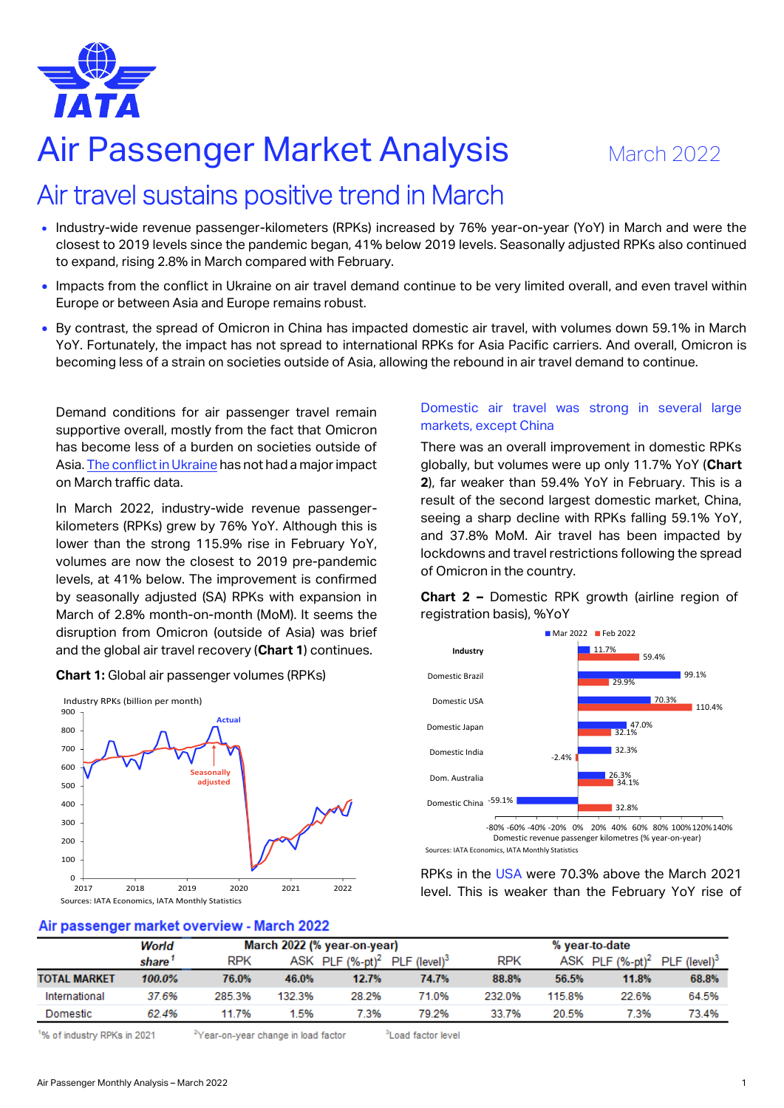

# Air Passenger Market Analysis March 2022

# Air travel sustains positive trend in March

- Industry-wide revenue passenger-kilometers (RPKs) increased by 76% year-on-year (YoY) in March and were the closest to 2019 levels since the pandemic began, 41% below 2019 levels. Seasonally adjusted RPKs also continued to expand, rising 2.8% in March compared with February.
- Impacts from the conflict in Ukraine on air travel demand continue to be very limited overall, and even travel within Europe or between Asia and Europe remains robust.
- By contrast, the spread of Omicron in China has impacted domestic air travel, with volumes down 59.1% in March YoY. Fortunately, the impact has not spread to international RPKs for Asia Pacific carriers. And overall, Omicron is becoming less of a strain on societies outside of Asia, allowing the rebound in air travel demand to continue.

Demand conditions for air passenger travel remain supportive overall, mostly from the fact that Omicron has become less of a burden on societies outside of Asia[. The conflict in Ukraine](https://www.iata.org/en/iata-repository/publications/economic-reports/the-impact-of-the-conflict-between-russia-and-ukraine-on-aviation/) has not had a major impact on March traffic data.

In March 2022, industry-wide revenue passengerkilometers (RPKs) grew by 76% YoY. Although this is lower than the strong 115.9% rise in February YoY, volumes are now the closest to 2019 pre-pandemic levels, at 41% below. The improvement is confirmed by seasonally adjusted (SA) RPKs with expansion in March of 2.8% month-on-month (MoM). It seems the disruption from Omicron (outside of Asia) was brief and the global air travel recovery (**Chart 1**) continues.



#### **Chart 1:** Global air passenger volumes (RPKs)

## Domestic air travel was strong in several large markets, except China

There was an overall improvement in domestic RPKs globally, but volumes were up only 11.7% YoY (**Chart 2**), far weaker than 59.4% YoY in February. This is a result of the second largest domestic market, China, seeing a sharp decline with RPKs falling 59.1% YoY, and 37.8% MoM. Air travel has been impacted by lockdowns and travel restrictions following the spread of Omicron in the country.

**Chart 2 –** Domestic RPK growth (airline region of registration basis), %YoY



Sources: IATA Economics, IATA Monthly Statistics

RPKs in the USA were 70.3% above the March 2021 level. This is weaker than the February YoY rise of

# Air passenger market overview - March 2022

|                     | World  | March 2022 (% year-on-year) |        |                         | % year-to-date             |            |        |                         |                            |
|---------------------|--------|-----------------------------|--------|-------------------------|----------------------------|------------|--------|-------------------------|----------------------------|
|                     | share  | <b>RPK</b>                  |        | ASK PLF $(\%$ -pt $)^2$ | $PLF$ (level) <sup>3</sup> | <b>RPK</b> |        | ASK PLF $(\%$ -pt $)^2$ | $PLF$ (level) <sup>3</sup> |
| <b>TOTAL MARKET</b> | 100.0% | 76.0%                       | 46.0%  | 12.7%                   | 74.7%                      | 88.8%      | 56.5%  | 11.8%                   | 68.8%                      |
| International       | 37.6%  | 285.3%                      | 132.3% | 28.2%                   | 71.0%                      | 232.0%     | 115.8% | 22.6%                   | 64.5%                      |
| Domestic            | 62.4%  | 11.7%                       | .5%    | 7.3%                    | 79.2%                      | 33.7%      | 20.5%  | 7.3%                    | 73.4%                      |

% of industry RPKs in 2021

<sup>2</sup>Year-on-vear change in load factor

<sup>3</sup>Load factor level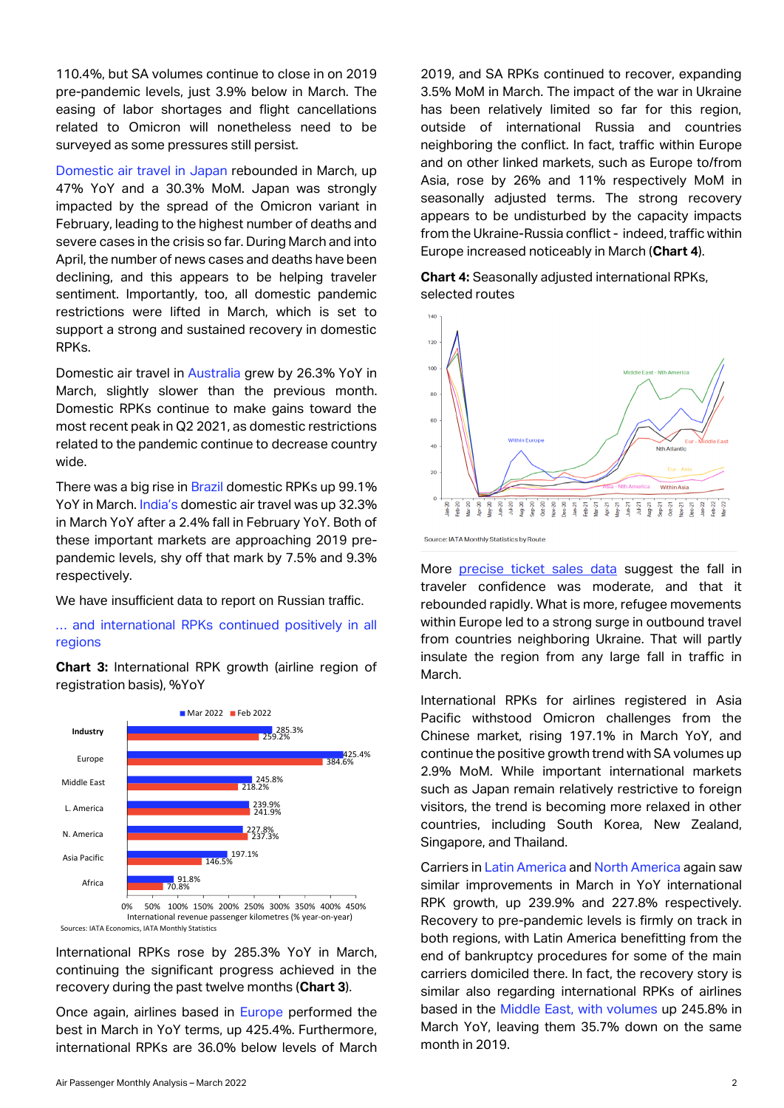110.4%, but SA volumes continue to close in on 2019 pre-pandemic levels, just 3.9% below in March. The easing of labor shortages and flight cancellations related to Omicron will nonetheless need to be surveyed as some pressures still persist.

Domestic air travel in Japan rebounded in March, up 47% YoY and a 30.3% MoM. Japan was strongly impacted by the spread of the Omicron variant in February, leading to the highest number of deaths and severe cases in the crisis so far. During March and into April, the number of news cases and deaths have been declining, and this appears to be helping traveler sentiment. Importantly, too, all domestic pandemic restrictions were lifted in March, which is set to support a strong and sustained recovery in domestic RPKs.

Domestic air travel in Australia grew by 26.3% YoY in March, slightly slower than the previous month. Domestic RPKs continue to make gains toward the most recent peak in Q2 2021, as domestic restrictions related to the pandemic continue to decrease country wide.

There was a big rise in Brazil domestic RPKs up 99.1% YoY in March. India's domestic air travel was up 32.3% in March YoY after a 2.4% fall in February YoY. Both of these important markets are approaching 2019 prepandemic levels, shy off that mark by 7.5% and 9.3% respectively.

We have insufficient data to report on Russian traffic.

### … and international RPKs continued positively in all regions

**Chart 3:** International RPK growth (airline region of registration basis), %YoY



0% 50% 100% 150% 200% 250% 300% 350% 400% 450% International revenue passenger kilometres (% year-on-year) Sources: IATA Economics, IATA Monthly Statistics

International RPKs rose by 285.3% YoY in March, continuing the significant progress achieved in the recovery during the past twelve months (**Chart 3**).

Once again, airlines based in Europe performed the best in March in YoY terms, up 425.4%. Furthermore, international RPKs are 36.0% below levels of March

2019, and SA RPKs continued to recover, expanding 3.5% MoM in March. The impact of the war in Ukraine has been relatively limited so far for this region. outside of international Russia and countries neighboring the conflict. In fact, traffic within Europe and on other linked markets, such as Europe to/from Asia, rose by 26% and 11% respectively MoM in seasonally adjusted terms. The strong recovery appears to be undisturbed by the capacity impacts from the Ukraine-Russia conflict - indeed, traffic within Europe increased noticeably in March (**Chart 4**).

**Chart 4:** Seasonally adjusted international RPKs, selected routes



Source: IATA Monthly Statistics by Route

More [precise ticket sales data](https://www.iata.org/en/iata-repository/publications/economic-reports/ticket-sales-for-us-to-europe-travel-highlight-resilient-confidence/) suggest the fall in traveler confidence was moderate, and that it rebounded rapidly. What is more, refugee movements within Europe led to a strong surge in outbound travel from countries neighboring Ukraine. That will partly insulate the region from any large fall in traffic in March.

International RPKs for airlines registered in Asia Pacific withstood Omicron challenges from the Chinese market, rising 197.1% in March YoY, and continue the positive growth trend with SA volumes up 2.9% MoM. While important international markets such as Japan remain relatively restrictive to foreign visitors, the trend is becoming more relaxed in other countries, including South Korea, New Zealand, Singapore, and Thailand.

Carriers in Latin America and North America again saw similar improvements in March in YoY international RPK growth, up 239.9% and 227.8% respectively. Recovery to pre-pandemic levels is firmly on track in both regions, with Latin America benefitting from the end of bankruptcy procedures for some of the main carriers domiciled there. In fact, the recovery story is similar also regarding international RPKs of airlines based in the Middle East, with volumes up 245.8% in March YoY, leaving them 35.7% down on the same month in 2019.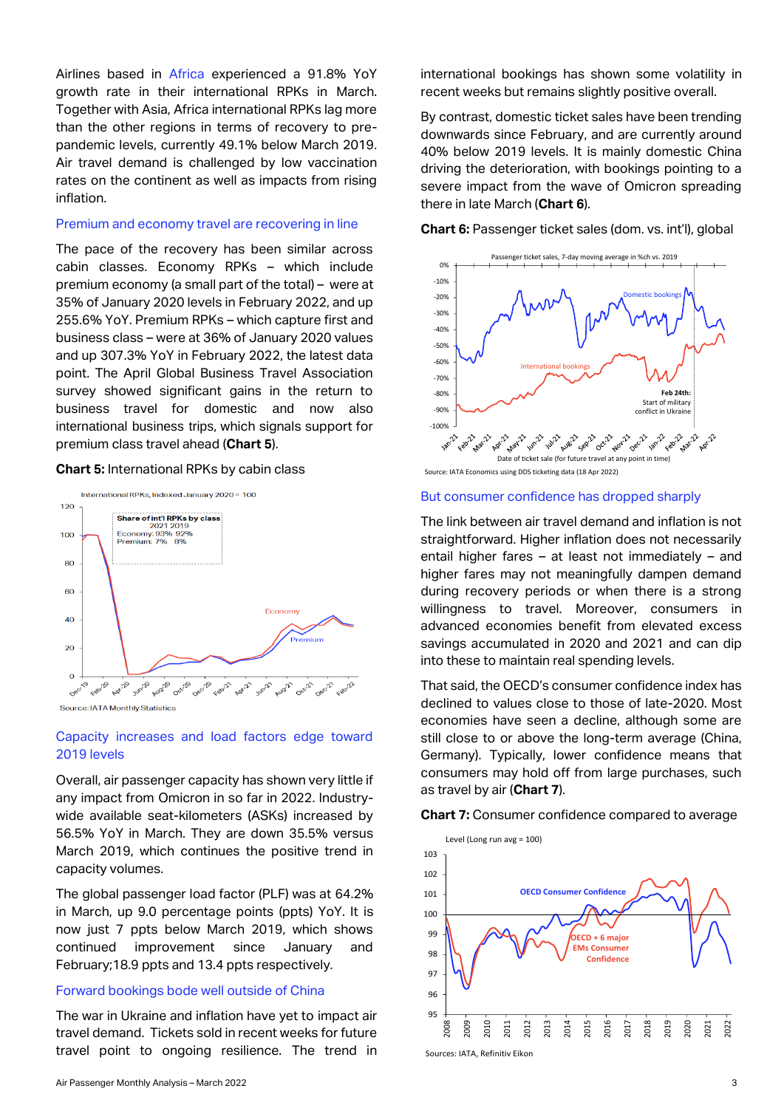Airlines based in Africa experienced a 91.8% YoY growth rate in their international RPKs in March. Together with Asia, Africa international RPKs lag more than the other regions in terms of recovery to prepandemic levels, currently 49.1% below March 2019. Air travel demand is challenged by low vaccination rates on the continent as well as impacts from rising inflation.

#### Premium and economy travel are recovering in line

The pace of the recovery has been similar across cabin classes. Economy RPKs – which include premium economy (a small part of the total) – were at 35% of January 2020 levels in February 2022, and up 255.6% YoY. Premium RPKs – which capture first and business class – were at 36% of January 2020 values and up 307.3% YoY in February 2022, the latest data point. The April Global Business Travel Association survey showed significant gains in the return to business travel for domestic and now also international business trips, which signals support for premium class travel ahead (**Chart 5**).

#### **Chart 5:** International RPKs by cabin class



Source: IATA Monthly Statistics

#### Capacity increases and load factors edge toward 2019 levels

Overall, air passenger capacity has shown very little if any impact from Omicron in so far in 2022. Industrywide available seat-kilometers (ASKs) increased by 56.5% YoY in March. They are down 35.5% versus March 2019, which continues the positive trend in capacity volumes.

The global passenger load factor (PLF) was at 64.2% in March, up 9.0 percentage points (ppts) YoY. It is now just 7 ppts below March 2019, which shows continued improvement since January and February;18.9 ppts and 13.4 ppts respectively.

#### Forward bookings bode well outside of China

The war in Ukraine and inflation have yet to impact air travel demand. Tickets sold in recent weeks for future travel point to ongoing resilience. The trend in

Air Passenger Monthly Analysis – March 2022 3

international bookings has shown some volatility in recent weeks but remains slightly positive overall.

By contrast, domestic ticket sales have been trending downwards since February, and are currently around 40% below 2019 levels. It is mainly domestic China driving the deterioration, with bookings pointing to a severe impact from the wave of Omicron spreading there in late March (**Chart 6**).

**Chart 6:** Passenger ticket sales (dom. vs. int'l), global



Source: IATA Economics using DDS ticketing data (18 Apr 2022)

#### But consumer confidence has dropped sharply

The link between air travel demand and inflation is not straightforward. Higher inflation does not necessarily entail higher fares – at least not immediately – and higher fares may not meaningfully dampen demand during recovery periods or when there is a strong willingness to travel. Moreover, consumers in advanced economies benefit from elevated excess savings accumulated in 2020 and 2021 and can dip into these to maintain real spending levels.

That said, the OECD's consumer confidence index has declined to values close to those of late-2020. Most economies have seen a decline, although some are still close to or above the long-term average (China, Germany). Typically, lower confidence means that consumers may hold off from large purchases, such as travel by air (**Chart 7**).

**Chart 7:** Consumer confidence compared to average